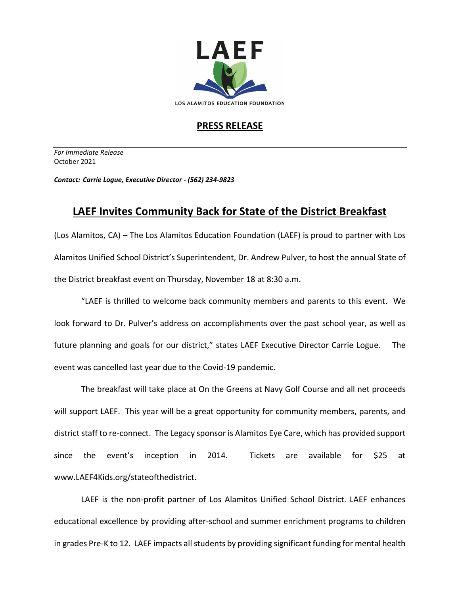

## **PRESS RELEASE**

*For Immediate Release*  October 2021

*Contact: Carrie Logue, Executive Director - (562) 234-9823*

## **LAEF Invites Community Back for State of the District Breakfast**

(Los Alamitos, CA) – The Los Alamitos Education Foundation (LAEF) is proud to partner with Los Alamitos Unified School District's Superintendent, Dr. Andrew Pulver, to host the annual State of the District breakfast event on Thursday, November 18 at 8:30 a.m.

"LAEF is thrilled to welcome back community members and parents to this event. We look forward to Dr. Pulver's address on accomplishments over the past school year, as well as future planning and goals for our district," states LAEF Executive Director Carrie Logue. The event was cancelled last year due to the Covid-19 pandemic.

The breakfast will take place at On the Greens at Navy Golf Course and all net proceeds will support LAEF. This year will be a great opportunity for community members, parents, and district staff to re-connect. The Legacy sponsor is Alamitos Eye Care, which has provided support since the event's inception in 2014. Tickets are available for \$25 at www.LAEF4Kids.org/stateofthedistrict.

LAEF is the non-profit partner of Los Alamitos Unified School District. LAEF enhances educational excellence by providing after-school and summer enrichment programs to children in grades Pre-K to 12. LAEF impacts all students by providing significant funding for mental health